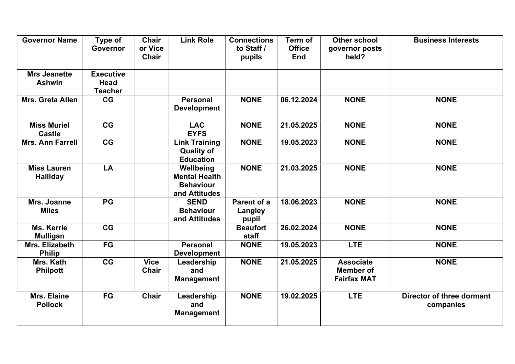| <b>Governor Name</b>                  | Type of<br><b>Governor</b>                        | <b>Chair</b><br>or Vice<br><b>Chair</b> | <b>Link Role</b>                                                       | <b>Connections</b><br>to Staff /<br>pupils | Term of<br><b>Office</b><br><b>End</b> | <b>Other school</b><br>governor posts<br>held?             | <b>Business Interests</b>              |
|---------------------------------------|---------------------------------------------------|-----------------------------------------|------------------------------------------------------------------------|--------------------------------------------|----------------------------------------|------------------------------------------------------------|----------------------------------------|
| <b>Mrs Jeanette</b><br><b>Ashwin</b>  | <b>Executive</b><br><b>Head</b><br><b>Teacher</b> |                                         |                                                                        |                                            |                                        |                                                            |                                        |
| Mrs. Greta Allen                      | CG                                                |                                         | <b>Personal</b><br><b>Development</b>                                  | <b>NONE</b>                                | 06.12.2024                             | <b>NONE</b>                                                | <b>NONE</b>                            |
| <b>Miss Muriel</b><br><b>Castle</b>   | CG                                                |                                         | <b>LAC</b><br><b>EYFS</b>                                              | <b>NONE</b>                                | 21.05.2025                             | <b>NONE</b>                                                | <b>NONE</b>                            |
| Mrs. Ann Farrell                      | CG                                                |                                         | <b>Link Training</b><br><b>Quality of</b><br><b>Education</b>          | <b>NONE</b>                                | 19.05.2023                             | <b>NONE</b>                                                | <b>NONE</b>                            |
| <b>Miss Lauren</b><br><b>Halliday</b> | LA                                                |                                         | Wellbeing<br><b>Mental Health</b><br><b>Behaviour</b><br>and Attitudes | <b>NONE</b>                                | 21.03.2025                             | <b>NONE</b>                                                | <b>NONE</b>                            |
| Mrs. Joanne<br><b>Miles</b>           | <b>PG</b>                                         |                                         | <b>SEND</b><br><b>Behaviour</b><br>and Attitudes                       | Parent of a<br>Langley<br>pupil            | 18.06.2023                             | <b>NONE</b>                                                | <b>NONE</b>                            |
| <b>Ms. Kerrie</b><br><b>Mulligan</b>  | CG                                                |                                         |                                                                        | <b>Beaufort</b><br>staff                   | 26.02.2024                             | <b>NONE</b>                                                | <b>NONE</b>                            |
| Mrs. Elizabeth<br><b>Philip</b>       | <b>FG</b>                                         |                                         | <b>Personal</b><br><b>Development</b>                                  | <b>NONE</b>                                | 19.05.2023                             | <b>LTE</b>                                                 | <b>NONE</b>                            |
| Mrs. Kath<br><b>Philpott</b>          | CG                                                | <b>Vice</b><br>Chair                    | Leadership<br>and<br><b>Management</b>                                 | <b>NONE</b>                                | 21.05.2025                             | <b>Associate</b><br><b>Member of</b><br><b>Fairfax MAT</b> | <b>NONE</b>                            |
| Mrs. Elaine<br><b>Pollock</b>         | <b>FG</b>                                         | <b>Chair</b>                            | Leadership<br>and<br><b>Management</b>                                 | <b>NONE</b>                                | 19.02.2025                             | <b>LTE</b>                                                 | Director of three dormant<br>companies |